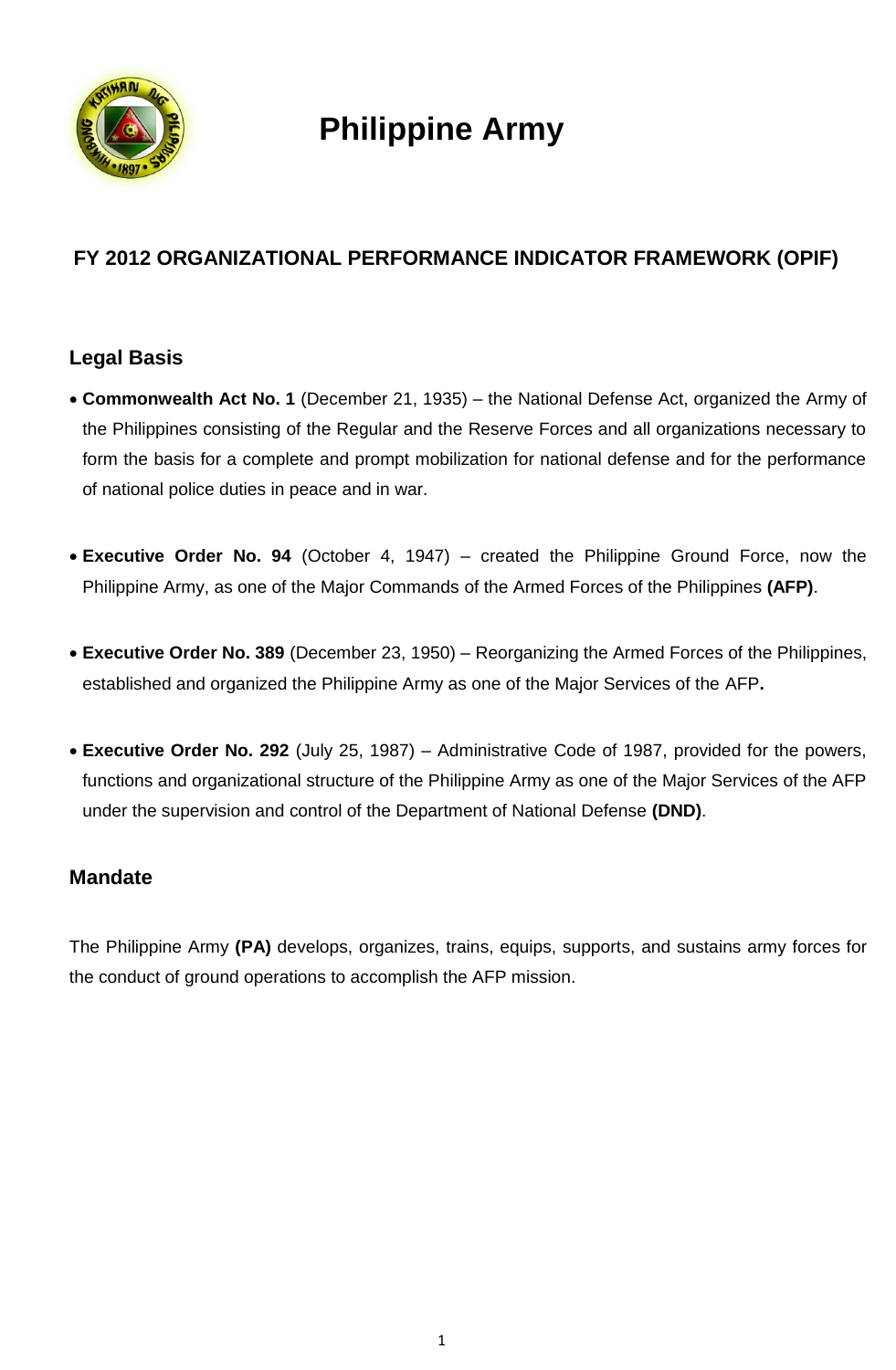

# **Philippine Army**

## **FY 2012 ORGANIZATIONAL PERFORMANCE INDICATOR FRAMEWORK (OPIF)**

### **Legal Basis**

- **Commonwealth Act No. 1** (December 21, 1935) the National Defense Act, organized the Army of the Philippines consisting of the Regular and the Reserve Forces and all organizations necessary to form the basis for a complete and prompt mobilization for national defense and for the performance of national police duties in peace and in war.
- **Executive Order No. 94** (October 4, 1947) created the Philippine Ground Force, now the Philippine Army, as one of the Major Commands of the Armed Forces of the Philippines **(AFP)**.
- **Executive Order No. 389** (December 23, 1950) Reorganizing the Armed Forces of the Philippines, established and organized the Philippine Army as one of the Major Services of the AFP**.**
- **Executive Order No. 292** (July 25, 1987) Administrative Code of 1987, provided for the powers, functions and organizational structure of the Philippine Army as one of the Major Services of the AFP under the supervision and control of the Department of National Defense **(DND)**.

### **Mandate**

The Philippine Army **(PA)** develops, organizes, trains, equips, supports, and sustains army forces for the conduct of ground operations to accomplish the AFP mission.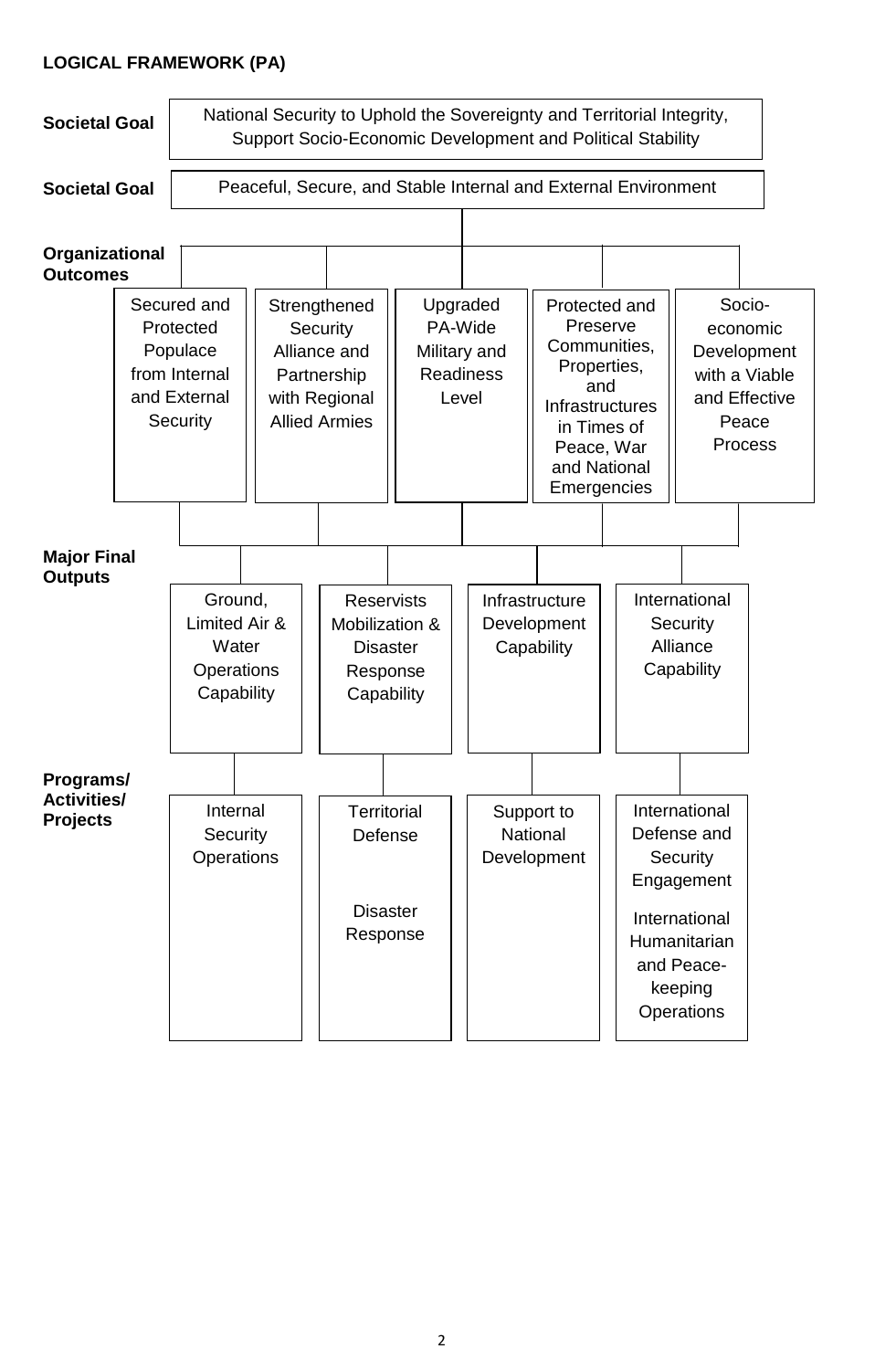#### **LOGICAL FRAMEWORK (PA)**